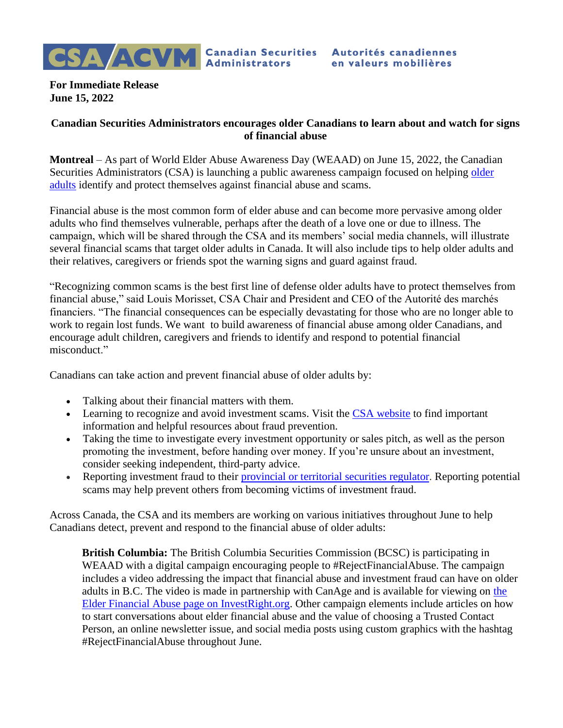

**For Immediate Release June 15, 2022**

## **Canadian Securities Administrators encourages older Canadians to learn about and watch for signs of financial abuse**

**Montreal** – As part of World Elder Abuse Awareness Day (WEAAD) on June 15, 2022, the Canadian Securities Administrators (CSA) is launching a public awareness campaign focused on helping [older](https://www.securities-administrators.ca/investor-tools/avoiding-fraud/financial-abuse/)  [adults](https://www.securities-administrators.ca/investor-tools/avoiding-fraud/financial-abuse/) identify and protect themselves against financial abuse and scams.

Financial abuse is the most common form of elder abuse and can become more pervasive among older adults who find themselves vulnerable, perhaps after the death of a love one or due to illness. The campaign, which will be shared through the CSA and its members' social media channels, will illustrate several financial scams that target older adults in Canada. It will also include tips to help older adults and their relatives, caregivers or friends spot the warning signs and guard against fraud.

"Recognizing common scams is the best first line of defense older adults have to protect themselves from financial abuse," said Louis Morisset, CSA Chair and President and CEO of the Autorité des marchés financiers. "The financial consequences can be especially devastating for those who are no longer able to work to regain lost funds. We want to build awareness of financial abuse among older Canadians, and encourage adult children, caregivers and friends to identify and respond to potential financial misconduct."

Canadians can take action and prevent financial abuse of older adults by:

- Talking about their financial matters with them.
- Learning to recognize and avoid investment scams. Visit the CSA [website](https://www.securities-administrators.ca/investor-tools/avoiding-fraud/stop-elder-financial-abuse/) to find important information and helpful resources about fraud prevention.
- Taking the time to investigate every investment opportunity or sales pitch, as well as the person promoting the investment, before handing over money. If you're unsure about an investment, consider seeking independent, third-party advice.
- Reporting investment fraud to their *[provincial](https://www.securities-administrators.ca/aboutcsa.aspx?id=99) or territorial securities regulator*. Reporting potential scams may help prevent others from becoming victims of investment fraud.

Across Canada, the CSA and its members are working on various initiatives throughout June to help Canadians detect, prevent and respond to the financial abuse of older adults:

**British Columbia:** The British Columbia Securities Commission (BCSC) is participating in WEAAD with a digital campaign encouraging people to #RejectFinancialAbuse. The campaign includes a video addressing the impact that financial abuse and investment fraud can have on older adults in B.C. The video is made in partnership with CanAge and is available for viewing on the [Elder Financial Abuse page on InvestRight.org.](https://www.investright.org/fraud-awareness/targets-of-fraud/elder-financial-abuse/) Other campaign elements include articles on how to start conversations about elder financial abuse and the value of choosing a Trusted Contact Person, an online newsletter issue, and social media posts using custom graphics with the hashtag #RejectFinancialAbuse throughout June.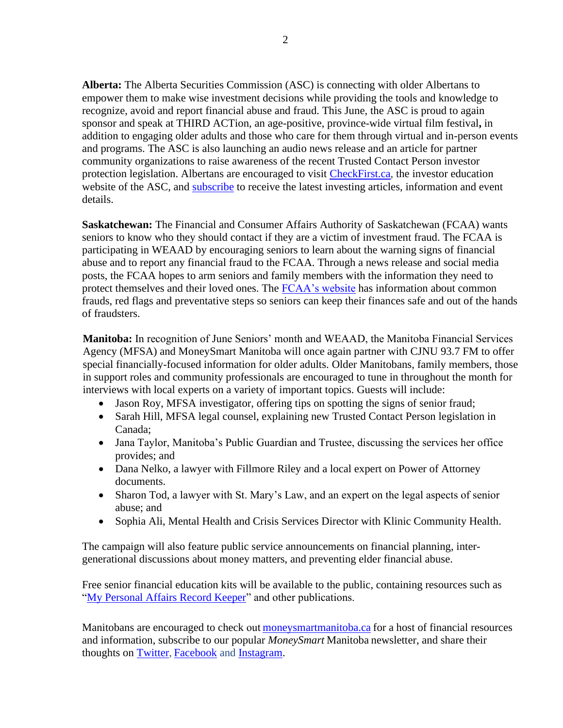**Alberta:** The Alberta Securities Commission (ASC) is connecting with older Albertans to empower them to make wise investment decisions while providing the tools and knowledge to recognize, avoid and report financial abuse and fraud. This June, the ASC is proud to again sponsor and speak at THIRD ACTion, an age-positive, province-wide virtual film festival**,** in addition to engaging older adults and those who care for them through virtual and in-person events and programs. The ASC is also launching an audio news release and an article for partner community organizations to raise awareness of the recent Trusted Contact Person investor protection legislation. Albertans are encouraged to visit [CheckFirst.ca,](http://www.checkfirst.ca/) the investor education website of the ASC, and [subscribe](https://checkfirst.ca/subscribe/) to receive the latest investing articles, information and event details.

**Saskatchewan:** The Financial and Consumer Affairs Authority of Saskatchewan (FCAA) wants seniors to know who they should contact if they are a victim of investment fraud. The FCAA is participating in WEAAD by encouraging seniors to learn about the warning signs of financial abuse and to report any financial fraud to the FCAA. Through a news release and social media posts, the FCAA hopes to arm seniors and family members with the information they need to protect themselves and their loved ones. The [FCAA's website](https://nam12.safelinks.protection.outlook.com/?url=https://fcaa.gov.sk.ca/financial-literacy/seniors/senior-financial-abuse&data=04%7c01%7cNina.Godard%40edelman.com%7c7ce85cf2c56b4c44b92708d917015f4d%7cb824bfb3918e43c2bb1cdcc1ba40a82b%7c0%7c1%7c637566117042577570%7cUnknown%7cTWFpbGZsb3d8eyJWIjoiMC4wLjAwMDAiLCJQIjoiV2luMzIiLCJBTiI6Ik1haWwiLCJXVCI6Mn0%3D%7c1000&sdata=nP7RImaohcxHNoGTi1W47zANnN56wvmUegFNpsGTYvo%3D&reserved=0) has information about common frauds, red flags and preventative steps so seniors can keep their finances safe and out of the hands of fraudsters.

**Manitoba:** In recognition of June Seniors' month and WEAAD, the Manitoba Financial Services Agency (MFSA) and MoneySmart Manitoba will once again partner with CJNU 93.7 FM to offer special financially-focused information for older adults. Older Manitobans, family members, those in support roles and community professionals are encouraged to tune in throughout the month for interviews with local experts on a variety of important topics. Guests will include:

- Jason Roy, MFSA investigator, offering tips on spotting the signs of senior fraud;
- Sarah Hill, MFSA legal counsel, explaining new Trusted Contact Person legislation in Canada;
- Jana Taylor, Manitoba's Public Guardian and Trustee, discussing the services her office provides; and
- Dana Nelko, a lawyer with Fillmore Riley and a local expert on Power of Attorney documents.
- Sharon Tod, a lawyer with St. Mary's Law, and an expert on the legal aspects of senior abuse; and
- Sophia Ali, Mental Health and Crisis Services Director with Klinic Community Health.

The campaign will also feature public service announcements on financial planning, intergenerational discussions about money matters, and preventing elder financial abuse.

Free senior financial education kits will be available to the public, containing resources such as ["My Personal Affairs Record Keeper"](https://nam12.safelinks.protection.outlook.com/?url=https%3A%2F%2Furldefense.com%2Fv3%2F__https%3A%2Fwww.moneysmartmanitoba.ca%2Fwp-content%2Fuploads%2F2019%2F10%2FMoneySmart_RecordKeeper.pdf__%3B!!IqQd2s6KUyvHwNLtrw!rKJijvKIs0B1tzMJwGcEW_mlt-qvzGcuzDXxDZ-HJ6mFaT2tO2fSQp08_9SCRp1ZIzj-zeqhmq_afxSoK2L8Sm6wZKGFkq7lS4I%24&data=05%7C01%7CNina.Godard%40edelman.com%7C982631d786b34a0addd808da48bae805%7Cb824bfb3918e43c2bb1cdcc1ba40a82b%7C0%7C0%7C637902265449632247%7CUnknown%7CTWFpbGZsb3d8eyJWIjoiMC4wLjAwMDAiLCJQIjoiV2luMzIiLCJBTiI6Ik1haWwiLCJXVCI6Mn0%3D%7C3000%7C%7C%7C&sdata=Dxirc0d9%2BXEM0TsEMLsHfeK7dTnYe4PWZeq0fd%2BLr%2FI%3D&reserved=0) and other publications.

Manitobans are encouraged to check out moneys martmanitoba.ca for a host of financial resources and information, subscribe to our popular *[MoneySmart](https://nam12.safelinks.protection.outlook.com/?url=https%3A%2F%2Furldefense.com%2Fv3%2F__https%3A%2Fwww.moneysmartmanitoba.ca%2Fsignup-form%2F__%3B!!IqQd2s6KUyvHwNLtrw!rKJijvKIs0B1tzMJwGcEW_mlt-qvzGcuzDXxDZ-HJ6mFaT2tO2fSQp08_9SCRp1ZIzj-zeqhmq_afxSoK2L8Sm6wZKGFeDH46FU%24&data=05%7C01%7CNina.Godard%40edelman.com%7C982631d786b34a0addd808da48bae805%7Cb824bfb3918e43c2bb1cdcc1ba40a82b%7C0%7C0%7C637902265449632247%7CUnknown%7CTWFpbGZsb3d8eyJWIjoiMC4wLjAwMDAiLCJQIjoiV2luMzIiLCJBTiI6Ik1haWwiLCJXVCI6Mn0%3D%7C3000%7C%7C%7C&sdata=ALjTn7kPAHcMQW3%2FteMeG%2Bjs98TgwEi5klkw6JEEt04%3D&reserved=0)* Manitoba newsletter, and share their thoughts on [Twitter,](https://nam12.safelinks.protection.outlook.com/?url=https%3A%2F%2Furldefense.com%2Fv3%2F__https%3A%2Ftwitter.com%2Fmoneysmartmb%3Flang%3Den__%3B!!IqQd2s6KUyvHwNLtrw!rKJijvKIs0B1tzMJwGcEW_mlt-qvzGcuzDXxDZ-HJ6mFaT2tO2fSQp08_9SCRp1ZIzj-zeqhmq_afxSoK2L8Sm6wZKGFotsRN1Q%24&data=05%7C01%7CNina.Godard%40edelman.com%7C982631d786b34a0addd808da48bae805%7Cb824bfb3918e43c2bb1cdcc1ba40a82b%7C0%7C0%7C637902265449632247%7CUnknown%7CTWFpbGZsb3d8eyJWIjoiMC4wLjAwMDAiLCJQIjoiV2luMzIiLCJBTiI6Ik1haWwiLCJXVCI6Mn0%3D%7C3000%7C%7C%7C&sdata=oZUV9cDw39yW3iklKQ1s%2FWbqu%2FIQ%2FHVSUWJrTYjaA8A%3D&reserved=0) [Facebook](https://nam12.safelinks.protection.outlook.com/?url=https%3A%2F%2Furldefense.com%2Fv3%2F__https%3A%2Fwww.facebook.com%2Fmoneysmartmanitoba%2F__%3B!!IqQd2s6KUyvHwNLtrw!rKJijvKIs0B1tzMJwGcEW_mlt-qvzGcuzDXxDZ-HJ6mFaT2tO2fSQp08_9SCRp1ZIzj-zeqhmq_afxSoK2L8Sm6wZKGFl6mNDXE%24&data=05%7C01%7CNina.Godard%40edelman.com%7C982631d786b34a0addd808da48bae805%7Cb824bfb3918e43c2bb1cdcc1ba40a82b%7C0%7C0%7C637902265449632247%7CUnknown%7CTWFpbGZsb3d8eyJWIjoiMC4wLjAwMDAiLCJQIjoiV2luMzIiLCJBTiI6Ik1haWwiLCJXVCI6Mn0%3D%7C3000%7C%7C%7C&sdata=rMWagKiyktTu63I%2BxPTPqUDY%2Fyp7h3lbpVk4RdXujxE%3D&reserved=0) and [Instagram.](https://nam12.safelinks.protection.outlook.com/?url=https%3A%2F%2Furldefense.com%2Fv3%2F__https%3A%2Fwww.instagram.com%2Fmoneysmartmanitoba%2F__%3B!!IqQd2s6KUyvHwNLtrw!rKJijvKIs0B1tzMJwGcEW_mlt-qvzGcuzDXxDZ-HJ6mFaT2tO2fSQp08_9SCRp1ZIzj-zeqhmq_afxSoK2L8Sm6wZKGFJVcAct4%24&data=05%7C01%7CNina.Godard%40edelman.com%7C982631d786b34a0addd808da48bae805%7Cb824bfb3918e43c2bb1cdcc1ba40a82b%7C0%7C0%7C637902265449632247%7CUnknown%7CTWFpbGZsb3d8eyJWIjoiMC4wLjAwMDAiLCJQIjoiV2luMzIiLCJBTiI6Ik1haWwiLCJXVCI6Mn0%3D%7C3000%7C%7C%7C&sdata=22stamr%2FPGJVg7RT4Y1Iy%2Bsck995LYGIohLXNdfM3aI%3D&reserved=0)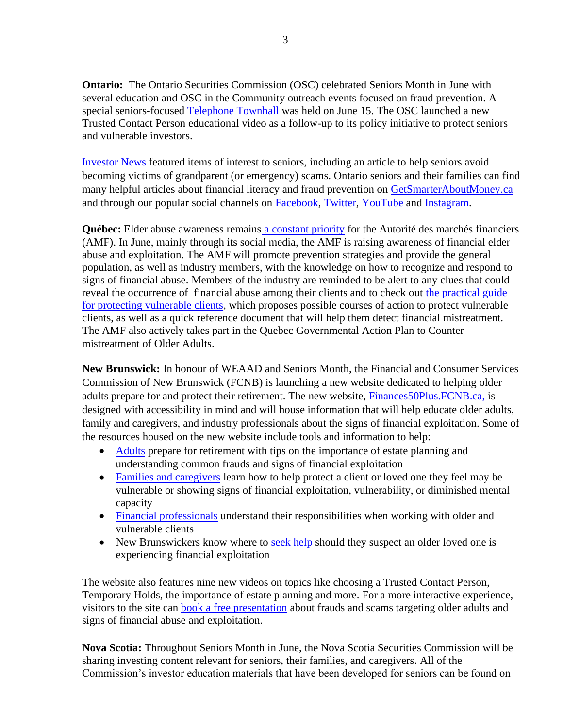**Ontario:** The Ontario Securities Commission (OSC) celebrated Seniors Month in June with several education and OSC in the Community outreach events focused on fraud prevention. A special seniors-focused [Telephone Townhall](https://osceventregistration.ca/tth20220615/registration) was held on June 15. The OSC launched a new Trusted Contact Person educational video as a follow-up to its policy initiative to protect seniors and vulnerable investors.

[Investor News](https://www.getsmarteraboutmoney.ca/resources/publications/investor-news/investor-news-sign-up/) featured items of interest to seniors, including an article to help seniors avoid becoming victims of grandparent (or emergency) scams. Ontario seniors and their families can find many helpful articles about financial literacy and fraud prevention on [GetSmarterAboutMoney.ca](https://www.getsmarteraboutmoney.ca/) and through our popular social channels on [Facebook,](https://www.facebook.com/GetSmarterAboutMoney) [Twitter,](https://twitter.com/smarter_money) [YouTube](https://www.youtube.com/GetSmarterAboutMoney) and [Instagram.](https://www.instagram.com/getsmarteraboutmoney/?hl=en)

**Québec:** [Elder abuse awareness remains](https://lautorite.qc.ca/en/general-public/publications/for-professionals/guides) [a constant priority](https://lautorite.qc.ca/en/general-public/publications/for-professionals/guides) for the Autorité des marchés financiers (AMF). In June, mainly through its social media, the AMF is raising awareness of financial elder abuse and exploitation. The AMF will promote prevention strategies and provide the general population, as well as industry members, with the knowledge on how to recognize and respond to signs of financial abuse. Members of the industry are reminded to be alert to any clues that could reveal the occurrence of financial abuse among their clients and to check out the practical guide [for protecting vulnerable clients,](https://lautorite.qc.ca/fileadmin/lautorite/grand_public/publications/professionnels/tous-les-pros/guide-bonnes-pratiques-personnes-vulnerables_an.pdf) which proposes possible courses of action to protect vulnerable clients, as well as a quick reference document that will help them detect financial mistreatment. The AMF also actively takes part in the Quebec Governmental Action Plan to Counter mistreatment of Older Adults.

**New Brunswick:** In honour of WEAAD and Seniors Month, the Financial and Consumer Services Commission of New Brunswick (FCNB) is launching a new website dedicated to helping older adults prepare for and protect their retirement. The new website, [Finances50Plus.FCNB.ca,](https://finances50plus.fcnb.ca/en) is designed with accessibility in mind and will house information that will help educate older adults, family and caregivers, and industry professionals about the signs of financial exploitation. Some of the resources housed on the new website include tools and information to help:

- [Adults](https://finances50plus.fcnb.ca/en/finances-50) prepare for retirement with tips on the importance of estate planning and understanding common frauds and signs of financial exploitation
- [Families and caregivers](https://finances50plus.fcnb.ca/en/family-and-caregivers) learn how to help protect a client or loved one they feel may be vulnerable or showing signs of financial exploitation, vulnerability, or diminished mental capacity
- [Financial professionals](https://finances50plus.fcnb.ca/en/industry/older-and-vulnerable-clients) understand their responsibilities when working with older and vulnerable clients
- New Brunswickers know where to [seek help](https://finances50plus.fcnb.ca/en/seeking-help-financial-abuse) should they suspect an older loved one is experiencing financial exploitation

The website also features nine new videos on topics like choosing a Trusted Contact Person, Temporary Holds, the importance of estate planning and more. For a more interactive experience, visitors to the site can [book a free presentation](https://finances50plus.fcnb.ca/en/book-presentation) about frauds and scams targeting older adults and signs of financial abuse and exploitation.

**Nova Scotia:** Throughout Seniors Month in June, the Nova Scotia Securities Commission will be sharing investing content relevant for seniors, their families, and caregivers. All of the Commission's investor education materials that have been developed for seniors can be found on